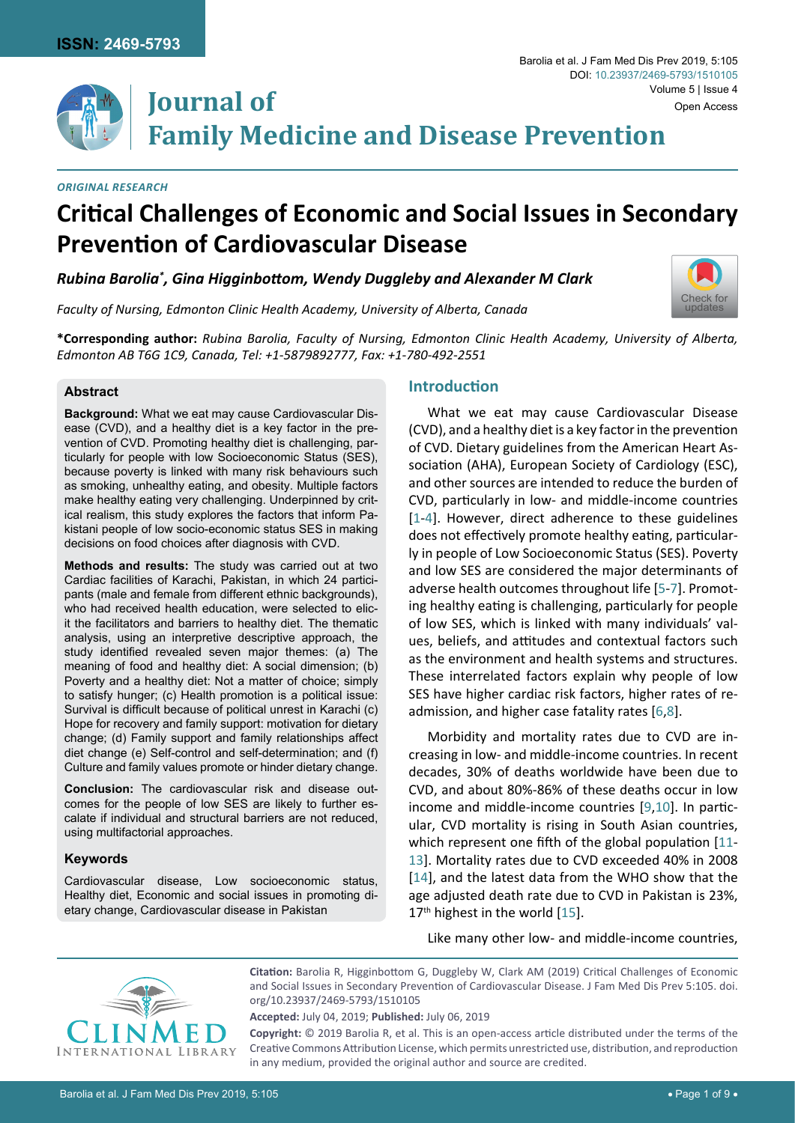

[Check for](http://crossmark.crossref.org/dialog/?doi=10.23937/2469-5793/1510105&domain=pdf) updates

# **Family Medicine and Disease Prevention**

#### *Original research*

## **Critical Challenges of Economic and Social Issues in Secondary Prevention of Cardiovascular Disease**

*Rubina Barolia\* , Gina Higginbottom, Wendy Duggleby and Alexander M Clark*

*Faculty of Nursing, Edmonton Clinic Health Academy, University of Alberta, Canada*

**\*Corresponding author:** *Rubina Barolia, Faculty of Nursing, Edmonton Clinic Health Academy, University of Alberta, Edmonton AB T6G 1C9, Canada, Tel: +1-5879892777, Fax: +1-780-492-2551*

#### **Abstract**

**Background:** What we eat may cause Cardiovascular Disease (CVD), and a healthy diet is a key factor in the prevention of CVD. Promoting healthy diet is challenging, particularly for people with low Socioeconomic Status (SES), because poverty is linked with many risk behaviours such as smoking, unhealthy eating, and obesity. Multiple factors make healthy eating very challenging. Underpinned by critical realism, this study explores the factors that inform Pakistani people of low socio-economic status SES in making decisions on food choices after diagnosis with CVD.

**Journal of** 

**Methods and results:** The study was carried out at two Cardiac facilities of Karachi, Pakistan, in which 24 participants (male and female from different ethnic backgrounds), who had received health education, were selected to elicit the facilitators and barriers to healthy diet. The thematic analysis, using an interpretive descriptive approach, the study identified revealed seven major themes: (a) The meaning of food and healthy diet: A social dimension; (b) Poverty and a healthy diet: Not a matter of choice; simply to satisfy hunger; (c) Health promotion is a political issue: Survival is difficult because of political unrest in Karachi (c) Hope for recovery and family support: motivation for dietary change; (d) Family support and family relationships affect diet change (e) Self-control and self-determination; and (f) Culture and family values promote or hinder dietary change.

**Conclusion:** The cardiovascular risk and disease outcomes for the people of low SES are likely to further escalate if individual and structural barriers are not reduced, using multifactorial approaches.

#### **Keywords**

Cardiovascular disease, Low socioeconomic status, Healthy diet, Economic and social issues in promoting dietary change, Cardiovascular disease in Pakistan

## **Introduction**

What we eat may cause Cardiovascular Disease (CVD), and a healthy diet is a key factor in the prevention of CVD. Dietary guidelines from the American Heart Association (AHA), European Society of Cardiology (ESC), and other sources are intended to reduce the burden of CVD, particularly in low- and middle-income countries [[1](#page-7-0)[-4](#page-7-1)]. However, direct adherence to these guidelines does not effectively promote healthy eating, particularly in people of Low Socioeconomic Status (SES). Poverty and low SES are considered the major determinants of adverse health outcomes throughout life [\[5-](#page-7-2)[7\]](#page-7-3). Promoting healthy eating is challenging, particularly for people of low SES, which is linked with many individuals' values, beliefs, and attitudes and contextual factors such as the environment and health systems and structures. These interrelated factors explain why people of low SES have higher cardiac risk factors, higher rates of readmission, and higher case fatality rates [\[6](#page-7-4),[8](#page-7-5)].

Morbidity and mortality rates due to CVD are increasing in low- and middle-income countries. In recent decades, 30% of deaths worldwide have been due to CVD, and about 80%-86% of these deaths occur in low income and middle-income countries [[9](#page-7-6),[10\]](#page-7-7). In particular, CVD mortality is rising in South Asian countries, which represent one fifth of the global population [\[11](#page-7-8)-[13](#page-7-9)]. Mortality rates due to CVD exceeded 40% in 2008 [[14\]](#page-7-10), and the latest data from the WHO show that the age adjusted death rate due to CVD in Pakistan is 23%,  $17<sup>th</sup>$  highest in the world [\[15\]](#page-7-11).

Like many other low- and middle-income countries,



**Citation:** Barolia R, Higginbottom G, Duggleby W, Clark AM (2019) Critical Challenges of Economic and Social Issues in Secondary Prevention of Cardiovascular Disease. J Fam Med Dis Prev 5:105. [doi.](https://doi.org/10.23937/2469-5793/1510105) [org/10.23937/2469-5793/1510105](https://doi.org/10.23937/2469-5793/1510105)

**Accepted:** July 04, 2019; **Published:** July 06, 2019

**Copyright:** © 2019 Barolia R, et al. This is an open-access article distributed under the terms of the Creative Commons Attribution License, which permits unrestricted use, distribution, and reproduction in any medium, provided the original author and source are credited.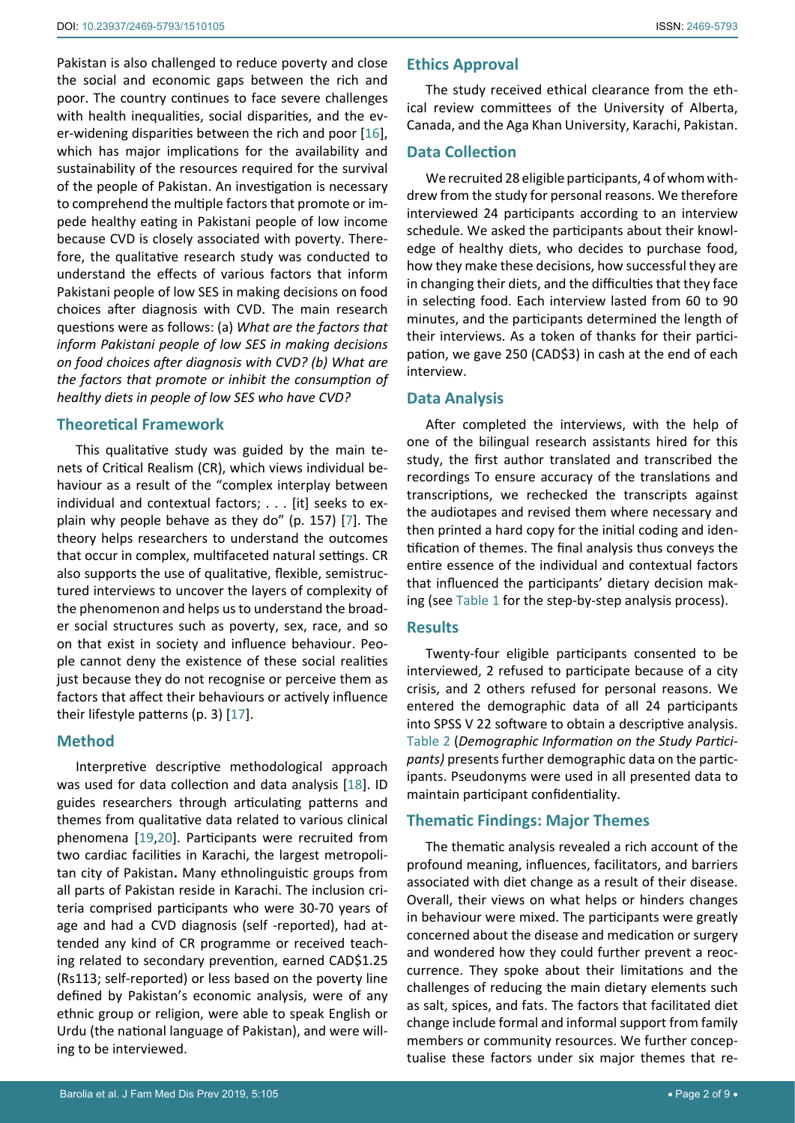Pakistan is also challenged to reduce poverty and close the social and economic gaps between the rich and poor. The country continues to face severe challenges with health inequalities, social disparities, and the ever-widening disparities between the rich and poor [\[16](#page-7-12)], which has major implications for the availability and sustainability of the resources required for the survival of the people of Pakistan. An investigation is necessary to comprehend the multiple factors that promote or impede healthy eating in Pakistani people of low income because CVD is closely associated with poverty. Therefore, the qualitative research study was conducted to understand the effects of various factors that inform Pakistani people of low SES in making decisions on food choices after diagnosis with CVD. The main research questions were as follows: (a) *What are the factors that inform Pakistani people of low SES in making decisions on food choices after diagnosis with CVD? (b) What are the factors that promote or inhibit the consumption of healthy diets in people of low SES who have CVD?*

## **Theoretical Framework**

This qualitative study was guided by the main tenets of Critical Realism (CR), which views individual behaviour as a result of the "complex interplay between individual and contextual factors; . . . [it] seeks to explain why people behave as they do" (p. 157) [[7](#page-7-3)]. The theory helps researchers to understand the outcomes that occur in complex, multifaceted natural settings. CR also supports the use of qualitative, flexible, semistructured interviews to uncover the layers of complexity of the phenomenon and helps us to understand the broader social structures such as poverty, sex, race, and so on that exist in society and influence behaviour. People cannot deny the existence of these social realities just because they do not recognise or perceive them as factors that affect their behaviours or actively influence their lifestyle patterns (p. 3) [[17\]](#page-7-13).

#### **Method**

Interpretive descriptive methodological approach was used for data collection and data analysis [\[18](#page-7-14)]. ID guides researchers through articulating patterns and themes from qualitative data related to various clinical phenomena [\[19](#page-7-15),[20](#page-7-16)]. Participants were recruited from two cardiac facilities in Karachi, the largest metropolitan city of Pakistan**.** Many ethnolinguistic groups from all parts of Pakistan reside in Karachi. The inclusion criteria comprised participants who were 30-70 years of age and had a CVD diagnosis (self -reported), had attended any kind of CR programme or received teaching related to secondary prevention, earned CAD\$1.25 (Rs113; self-reported) or less based on the poverty line defined by Pakistan's economic analysis, were of any ethnic group or religion, were able to speak English or Urdu (the national language of Pakistan), and were willing to be interviewed.

## **Ethics Approval**

The study received ethical clearance from the ethical review committees of the University of Alberta, Canada, and the Aga Khan University, Karachi, Pakistan.

## **Data Collection**

We recruited 28 eligible participants, 4 of whom withdrew from the study for personal reasons. We therefore interviewed 24 participants according to an interview schedule. We asked the participants about their knowledge of healthy diets, who decides to purchase food, how they make these decisions, how successful they are in changing their diets, and the difficulties that they face in selecting food. Each interview lasted from 60 to 90 minutes, and the participants determined the length of their interviews. As a token of thanks for their participation, we gave 250 (CAD\$3) in cash at the end of each interview.

## **Data Analysis**

After completed the interviews, with the help of one of the bilingual research assistants hired for this study, the first author translated and transcribed the recordings To ensure accuracy of the translations and transcriptions, we rechecked the transcripts against the audiotapes and revised them where necessary and then printed a hard copy for the initial coding and identification of themes. The final analysis thus conveys the entire essence of the individual and contextual factors that influenced the participants' dietary decision making (see [Table 1](#page-2-0) for the step-by-step analysis process).

## **Results**

Twenty-four eligible participants consented to be interviewed, 2 refused to participate because of a city crisis, and 2 others refused for personal reasons. We entered the demographic data of all 24 participants into SPSS V 22 software to obtain a descriptive analysis. [Table](#page-2-1) 2 (*Demographic Information on the Study Participants)* presents further demographic data on the participants. Pseudonyms were used in all presented data to maintain participant confidentiality.

## **Thematic Findings: Major Themes**

The thematic analysis revealed a rich account of the profound meaning, influences, facilitators, and barriers associated with diet change as a result of their disease. Overall, their views on what helps or hinders changes in behaviour were mixed. The participants were greatly concerned about the disease and medication or surgery and wondered how they could further prevent a reoccurrence. They spoke about their limitations and the challenges of reducing the main dietary elements such as salt, spices, and fats. The factors that facilitated diet change include formal and informal support from family members or community resources. We further conceptualise these factors under six major themes that re-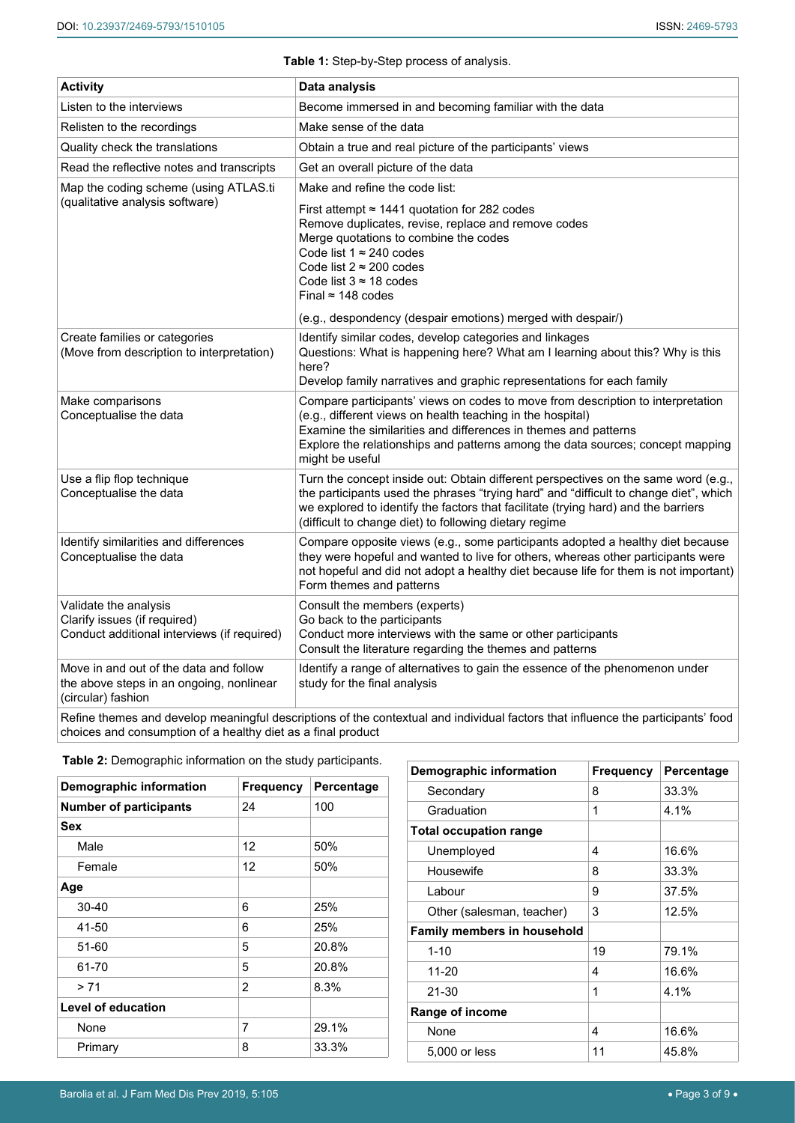## <span id="page-2-0"></span>**Table 1:** Step-by-Step process of analysis.

| <b>Activity</b>                                                                                          | Data analysis                                                                                                                                                                                                                                                                                                                                                                              |
|----------------------------------------------------------------------------------------------------------|--------------------------------------------------------------------------------------------------------------------------------------------------------------------------------------------------------------------------------------------------------------------------------------------------------------------------------------------------------------------------------------------|
| Listen to the interviews                                                                                 | Become immersed in and becoming familiar with the data                                                                                                                                                                                                                                                                                                                                     |
| Relisten to the recordings                                                                               | Make sense of the data                                                                                                                                                                                                                                                                                                                                                                     |
| Quality check the translations                                                                           | Obtain a true and real picture of the participants' views                                                                                                                                                                                                                                                                                                                                  |
| Read the reflective notes and transcripts                                                                | Get an overall picture of the data                                                                                                                                                                                                                                                                                                                                                         |
| Map the coding scheme (using ATLAS.ti<br>(qualitative analysis software)                                 | Make and refine the code list:<br>First attempt $\approx$ 1441 quotation for 282 codes<br>Remove duplicates, revise, replace and remove codes<br>Merge quotations to combine the codes<br>Code list $1 \approx 240$ codes<br>Code list $2 \approx 200$ codes<br>Code list $3 \approx 18$ codes<br>Final $\approx$ 148 codes<br>(e.g., despondency (despair emotions) merged with despair/) |
| Create families or categories<br>(Move from description to interpretation)                               | Identify similar codes, develop categories and linkages<br>Questions: What is happening here? What am I learning about this? Why is this<br>here?<br>Develop family narratives and graphic representations for each family                                                                                                                                                                 |
| Make comparisons<br>Conceptualise the data                                                               | Compare participants' views on codes to move from description to interpretation<br>(e.g., different views on health teaching in the hospital)<br>Examine the similarities and differences in themes and patterns<br>Explore the relationships and patterns among the data sources; concept mapping<br>might be useful                                                                      |
| Use a flip flop technique<br>Conceptualise the data                                                      | Turn the concept inside out: Obtain different perspectives on the same word (e.g.,<br>the participants used the phrases "trying hard" and "difficult to change diet", which<br>we explored to identify the factors that facilitate (trying hard) and the barriers<br>(difficult to change diet) to following dietary regime                                                                |
| Identify similarities and differences<br>Conceptualise the data                                          | Compare opposite views (e.g., some participants adopted a healthy diet because<br>they were hopeful and wanted to live for others, whereas other participants were<br>not hopeful and did not adopt a healthy diet because life for them is not important)<br>Form themes and patterns                                                                                                     |
| Validate the analysis<br>Clarify issues (if required)<br>Conduct additional interviews (if required)     | Consult the members (experts)<br>Go back to the participants<br>Conduct more interviews with the same or other participants<br>Consult the literature regarding the themes and patterns                                                                                                                                                                                                    |
| Move in and out of the data and follow<br>the above steps in an ongoing, nonlinear<br>(circular) fashion | Identify a range of alternatives to gain the essence of the phenomenon under<br>study for the final analysis                                                                                                                                                                                                                                                                               |

Refine themes and develop meaningful descriptions of the contextual and individual factors that influence the participants' food choices and consumption of a healthy diet as a final product

| <b>Frequency</b> | Percentage |
|------------------|------------|
| 24               | 100        |
|                  |            |
| 12               | 50%        |
| 12               | 50%        |
|                  |            |
| 6                | 25%        |
| 6                | 25%        |
| 5                | 20.8%      |
| 5                | 20.8%      |
| $\overline{2}$   | 8.3%       |
|                  |            |
| 7                | 29.1%      |
| 8                | 33.3%      |
|                  |            |

| Demographic information            | <b>Frequency</b> | Percentage |
|------------------------------------|------------------|------------|
| Secondary                          | 8                | 33.3%      |
| Graduation                         | 1                | 4.1%       |
| <b>Total occupation range</b>      |                  |            |
| Unemployed                         | 4                | 16.6%      |
| Housewife                          | 8                | 33.3%      |
| Labour                             | 9                | 37.5%      |
| Other (salesman, teacher)          | 3                | 12.5%      |
| <b>Family members in household</b> |                  |            |
| $1 - 10$                           | 19               | 79.1%      |
| $11 - 20$                          | 4                | 16.6%      |
| $21 - 30$                          | 1                | 4.1%       |
| Range of income                    |                  |            |
| None                               | 4                | 16.6%      |
| 5,000 or less                      | 11               | 45.8%      |

<span id="page-2-1"></span>**Table 2:** Demographic information on the study participants.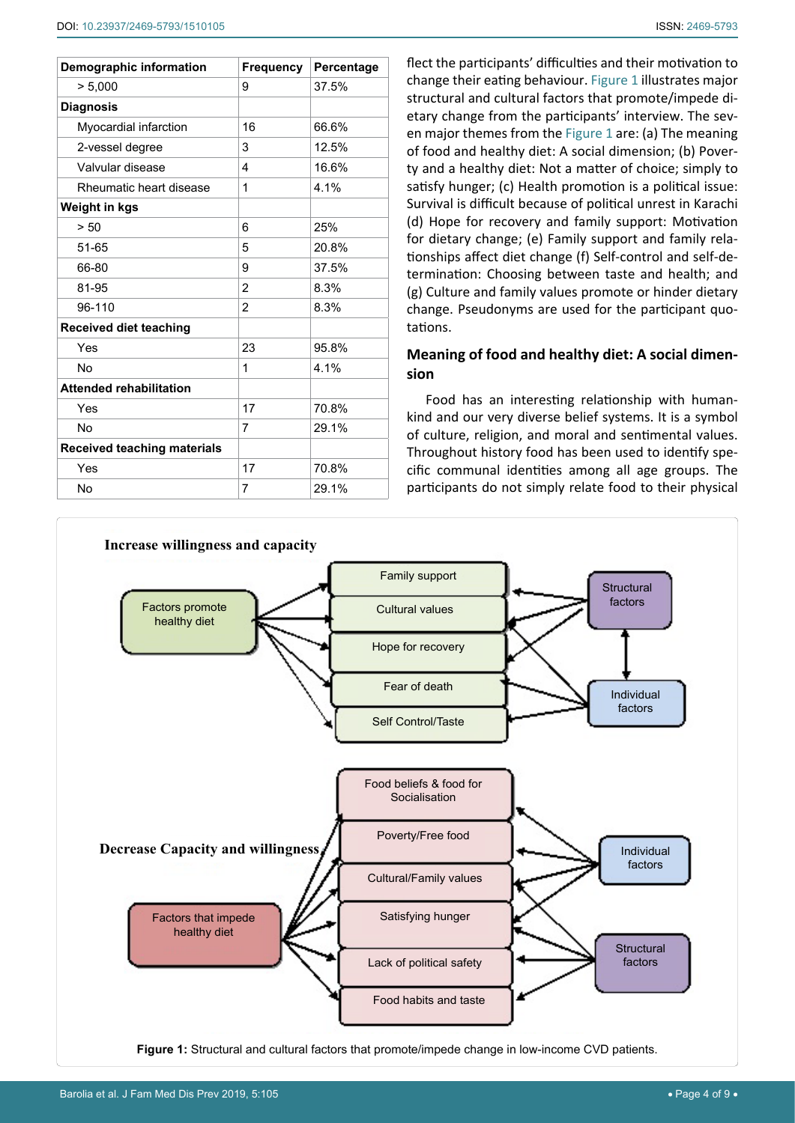| <b>Demographic information</b>     | <b>Frequency</b> | Percentage |
|------------------------------------|------------------|------------|
| > 5,000                            | 9                | 37.5%      |
| <b>Diagnosis</b>                   |                  |            |
| Myocardial infarction              | 16               | 66.6%      |
| 2-vessel degree                    | 3                | 12.5%      |
| Valvular disease                   | 4                | 16.6%      |
| Rheumatic heart disease            | 1                | 4.1%       |
| Weight in kgs                      |                  |            |
| > 50                               | 6                | 25%        |
| 51-65                              | 5                | 20.8%      |
| 66-80                              | 9                | 37.5%      |
| 81-95                              | $\overline{2}$   | 8.3%       |
| 96-110                             | $\overline{2}$   | 8.3%       |
| Received diet teaching             |                  |            |
| Yes                                | 23               | 95.8%      |
| No                                 | 1                | 4.1%       |
| <b>Attended rehabilitation</b>     |                  |            |
| Yes                                | 17               | 70.8%      |
| <b>No</b>                          | 7                | 29.1%      |
| <b>Received teaching materials</b> |                  |            |
| Yes                                | 17               | 70.8%      |
| No                                 | 7                | 29.1%      |

flect the participants' difficulties and their motivation to change their eating behaviour. [Figure 1](#page-3-0) illustrates major structural and cultural factors that promote/impede dietary change from the participants' interview. The seven major themes from the [Figure 1](#page-3-0) are: (a) The meaning of food and healthy diet: A social dimension; (b) Poverty and a healthy diet: Not a matter of choice; simply to satisfy hunger; (c) Health promotion is a political issue: Survival is difficult because of political unrest in Karachi (d) Hope for recovery and family support: Motivation for dietary change; (e) Family support and family relationships affect diet change (f) Self-control and self-determination: Choosing between taste and health; and (g) Culture and family values promote or hinder dietary change. Pseudonyms are used for the participant quotations.

## **Meaning of food and healthy diet: A social dimension**

Food has an interesting relationship with humankind and our very diverse belief systems. It is a symbol of culture, religion, and moral and sentimental values. Throughout history food has been used to identify specific communal identities among all age groups. The participants do not simply relate food to their physical

<span id="page-3-0"></span>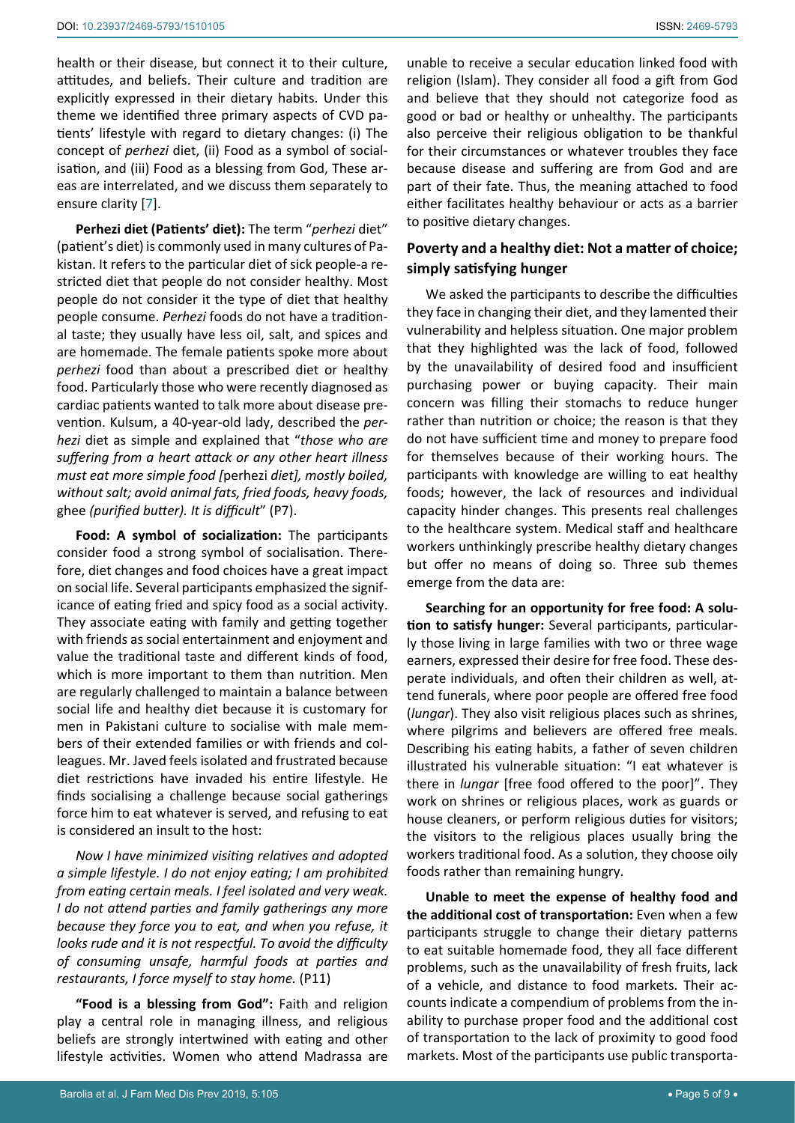health or their disease, but connect it to their culture, attitudes, and beliefs. Their culture and tradition are explicitly expressed in their dietary habits. Under this theme we identified three primary aspects of CVD patients' lifestyle with regard to dietary changes: (i) The concept of *perhezi* diet, (ii) Food as a symbol of socialisation, and (iii) Food as a blessing from God, These areas are interrelated, and we discuss them separately to ensure clarity [[7\]](#page-7-3).

**Perhezi diet (Patients' diet):** The term "*perhezi* diet" (patient's diet) is commonly used in many cultures of Pakistan. It refers to the particular diet of sick people-a restricted diet that people do not consider healthy. Most people do not consider it the type of diet that healthy people consume. *Perhezi* foods do not have a traditional taste; they usually have less oil, salt, and spices and are homemade. The female patients spoke more about *perhezi* food than about a prescribed diet or healthy food. Particularly those who were recently diagnosed as cardiac patients wanted to talk more about disease prevention. Kulsum, a 40-year-old lady, described the *perhezi* diet as simple and explained that "*those who are suffering from a heart attack or any other heart illness must eat more simple food [*perhezi *diet], mostly boiled, without salt; avoid animal fats, fried foods, heavy foods,*  ghee *(purified butter). It is difficult*" (P7).

**Food: A symbol of socialization:** The participants consider food a strong symbol of socialisation. Therefore, diet changes and food choices have a great impact on social life. Several participants emphasized the significance of eating fried and spicy food as a social activity. They associate eating with family and getting together with friends as social entertainment and enjoyment and value the traditional taste and different kinds of food, which is more important to them than nutrition. Men are regularly challenged to maintain a balance between social life and healthy diet because it is customary for men in Pakistani culture to socialise with male members of their extended families or with friends and colleagues. Mr. Javed feels isolated and frustrated because diet restrictions have invaded his entire lifestyle. He finds socialising a challenge because social gatherings force him to eat whatever is served, and refusing to eat is considered an insult to the host:

*Now I have minimized visiting relatives and adopted a simple lifestyle. I do not enjoy eating; I am prohibited from eating certain meals. I feel isolated and very weak. I do not attend parties and family gatherings any more because they force you to eat, and when you refuse, it looks rude and it is not respectful. To avoid the difficulty of consuming unsafe, harmful foods at parties and restaurants, I force myself to stay home.* (P11)

**"Food is a blessing from God":** Faith and religion play a central role in managing illness, and religious beliefs are strongly intertwined with eating and other lifestyle activities. Women who attend Madrassa are

unable to receive a secular education linked food with religion (Islam). They consider all food a gift from God and believe that they should not categorize food as good or bad or healthy or unhealthy. The participants also perceive their religious obligation to be thankful for their circumstances or whatever troubles they face because disease and suffering are from God and are part of their fate. Thus, the meaning attached to food either facilitates healthy behaviour or acts as a barrier to positive dietary changes.

## **Poverty and a healthy diet: Not a matter of choice; simply satisfying hunger**

We asked the participants to describe the difficulties they face in changing their diet, and they lamented their vulnerability and helpless situation. One major problem that they highlighted was the lack of food, followed by the unavailability of desired food and insufficient purchasing power or buying capacity. Their main concern was filling their stomachs to reduce hunger rather than nutrition or choice; the reason is that they do not have sufficient time and money to prepare food for themselves because of their working hours. The participants with knowledge are willing to eat healthy foods; however, the lack of resources and individual capacity hinder changes. This presents real challenges to the healthcare system. Medical staff and healthcare workers unthinkingly prescribe healthy dietary changes but offer no means of doing so. Three sub themes emerge from the data are:

**Searching for an opportunity for free food: A solution to satisfy hunger:** Several participants, particularly those living in large families with two or three wage earners, expressed their desire for free food. These desperate individuals, and often their children as well, attend funerals, where poor people are offered free food (*lungar*). They also visit religious places such as shrines, where pilgrims and believers are offered free meals. Describing his eating habits, a father of seven children illustrated his vulnerable situation: "I eat whatever is there in *lungar* [free food offered to the poor]". They work on shrines or religious places, work as guards or house cleaners, or perform religious duties for visitors; the visitors to the religious places usually bring the workers traditional food. As a solution, they choose oily foods rather than remaining hungry.

**Unable to meet the expense of healthy food and the additional cost of transportation:** Even when a few participants struggle to change their dietary patterns to eat suitable homemade food, they all face different problems, such as the unavailability of fresh fruits, lack of a vehicle, and distance to food markets. Their accounts indicate a compendium of problems from the inability to purchase proper food and the additional cost of transportation to the lack of proximity to good food markets. Most of the participants use public transporta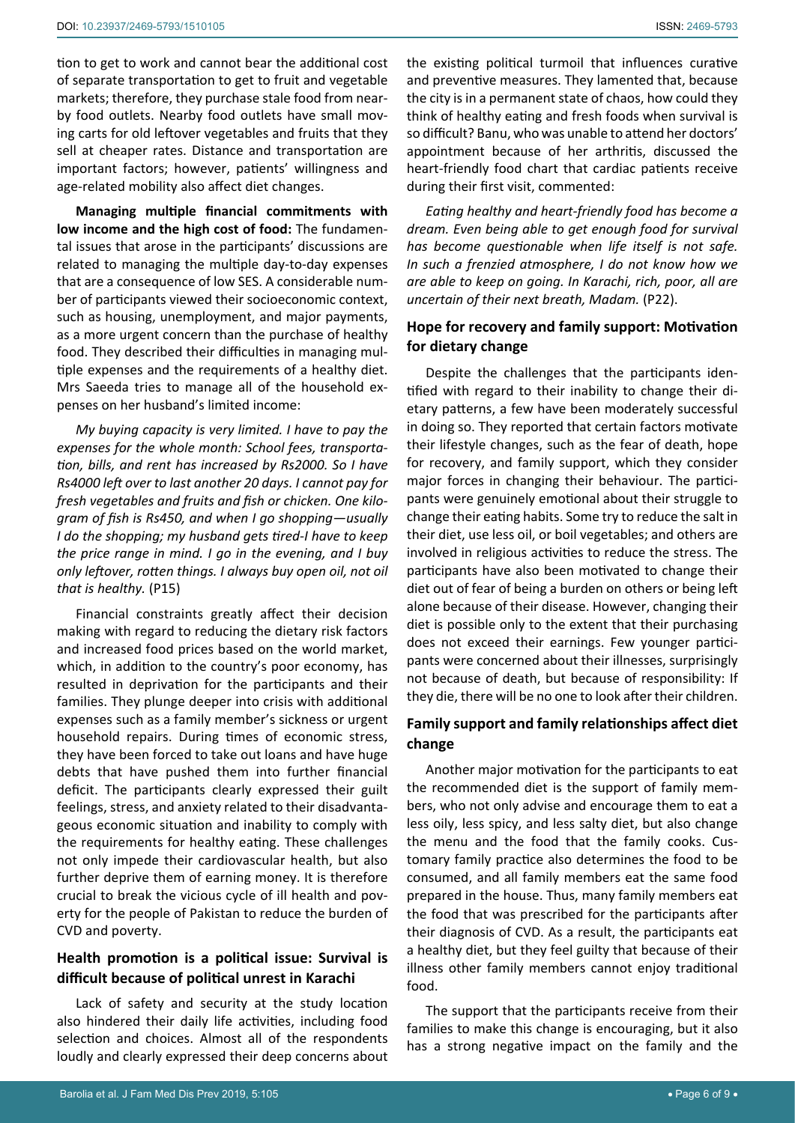tion to get to work and cannot bear the additional cost of separate transportation to get to fruit and vegetable markets; therefore, they purchase stale food from nearby food outlets. Nearby food outlets have small moving carts for old leftover vegetables and fruits that they sell at cheaper rates. Distance and transportation are important factors; however, patients' willingness and age-related mobility also affect diet changes.

**Managing multiple financial commitments with low income and the high cost of food:** The fundamental issues that arose in the participants' discussions are related to managing the multiple day-to-day expenses that are a consequence of low SES. A considerable number of participants viewed their socioeconomic context, such as housing, unemployment, and major payments, as a more urgent concern than the purchase of healthy food. They described their difficulties in managing multiple expenses and the requirements of a healthy diet. Mrs Saeeda tries to manage all of the household expenses on her husband's limited income:

*My buying capacity is very limited. I have to pay the expenses for the whole month: School fees, transportation, bills, and rent has increased by Rs2000. So I have Rs4000 left over to last another 20 days. I cannot pay for fresh vegetables and fruits and fish or chicken. One kilogram of fish is Rs450, and when I go shopping—usually I do the shopping; my husband gets tired-I have to keep the price range in mind. I go in the evening, and I buy only leftover, rotten things. I always buy open oil, not oil that is healthy.* (P15)

Financial constraints greatly affect their decision making with regard to reducing the dietary risk factors and increased food prices based on the world market, which, in addition to the country's poor economy, has resulted in deprivation for the participants and their families. They plunge deeper into crisis with additional expenses such as a family member's sickness or urgent household repairs. During times of economic stress, they have been forced to take out loans and have huge debts that have pushed them into further financial deficit. The participants clearly expressed their guilt feelings, stress, and anxiety related to their disadvantageous economic situation and inability to comply with the requirements for healthy eating. These challenges not only impede their cardiovascular health, but also further deprive them of earning money. It is therefore crucial to break the vicious cycle of ill health and poverty for the people of Pakistan to reduce the burden of CVD and poverty.

## **Health promotion is a political issue: Survival is difficult because of political unrest in Karachi**

Lack of safety and security at the study location also hindered their daily life activities, including food selection and choices. Almost all of the respondents loudly and clearly expressed their deep concerns about the existing political turmoil that influences curative and preventive measures. They lamented that, because the city is in a permanent state of chaos, how could they think of healthy eating and fresh foods when survival is so difficult? Banu, who was unable to attend her doctors' appointment because of her arthritis, discussed the heart-friendly food chart that cardiac patients receive during their first visit, commented:

*Eating healthy and heart-friendly food has become a dream. Even being able to get enough food for survival has become questionable when life itself is not safe. In such a frenzied atmosphere, I do not know how we are able to keep on going. In Karachi, rich, poor, all are uncertain of their next breath, Madam.* (P22).

## **Hope for recovery and family support: Motivation for dietary change**

Despite the challenges that the participants identified with regard to their inability to change their dietary patterns, a few have been moderately successful in doing so. They reported that certain factors motivate their lifestyle changes, such as the fear of death, hope for recovery, and family support, which they consider major forces in changing their behaviour. The participants were genuinely emotional about their struggle to change their eating habits. Some try to reduce the salt in their diet, use less oil, or boil vegetables; and others are involved in religious activities to reduce the stress. The participants have also been motivated to change their diet out of fear of being a burden on others or being left alone because of their disease. However, changing their diet is possible only to the extent that their purchasing does not exceed their earnings. Few younger participants were concerned about their illnesses, surprisingly not because of death, but because of responsibility: If they die, there will be no one to look after their children.

## **Family support and family relationships affect diet change**

Another major motivation for the participants to eat the recommended diet is the support of family members, who not only advise and encourage them to eat a less oily, less spicy, and less salty diet, but also change the menu and the food that the family cooks. Customary family practice also determines the food to be consumed, and all family members eat the same food prepared in the house. Thus, many family members eat the food that was prescribed for the participants after their diagnosis of CVD. As a result, the participants eat a healthy diet, but they feel guilty that because of their illness other family members cannot enjoy traditional food.

The support that the participants receive from their families to make this change is encouraging, but it also has a strong negative impact on the family and the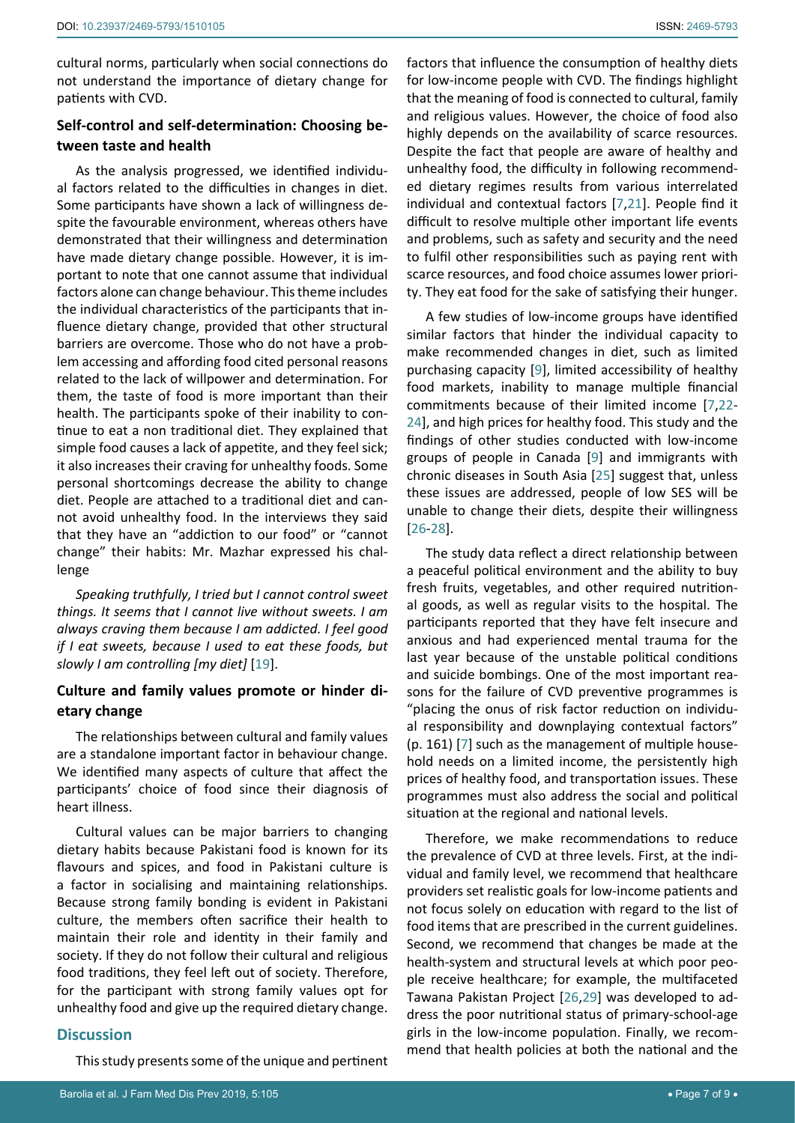cultural norms, particularly when social connections do not understand the importance of dietary change for patients with CVD.

## **Self-control and self-determination: Choosing between taste and health**

As the analysis progressed, we identified individual factors related to the difficulties in changes in diet. Some participants have shown a lack of willingness despite the favourable environment, whereas others have demonstrated that their willingness and determination have made dietary change possible. However, it is important to note that one cannot assume that individual factors alone can change behaviour. This theme includes the individual characteristics of the participants that influence dietary change, provided that other structural barriers are overcome. Those who do not have a problem accessing and affording food cited personal reasons related to the lack of willpower and determination. For them, the taste of food is more important than their health. The participants spoke of their inability to continue to eat a non traditional diet. They explained that simple food causes a lack of appetite, and they feel sick; it also increases their craving for unhealthy foods. Some personal shortcomings decrease the ability to change diet. People are attached to a traditional diet and cannot avoid unhealthy food. In the interviews they said that they have an "addiction to our food" or "cannot change" their habits: Mr. Mazhar expressed his challenge

*Speaking truthfully, I tried but I cannot control sweet things. It seems that I cannot live without sweets. I am always craving them because I am addicted. I feel good if I eat sweets, because I used to eat these foods, but slowly I am controlling [my diet]* [[19](#page-7-15)].

## **Culture and family values promote or hinder dietary change**

The relationships between cultural and family values are a standalone important factor in behaviour change. We identified many aspects of culture that affect the participants' choice of food since their diagnosis of heart illness.

Cultural values can be major barriers to changing dietary habits because Pakistani food is known for its flavours and spices, and food in Pakistani culture is a factor in socialising and maintaining relationships. Because strong family bonding is evident in Pakistani culture, the members often sacrifice their health to maintain their role and identity in their family and society. If they do not follow their cultural and religious food traditions, they feel left out of society. Therefore, for the participant with strong family values opt for unhealthy food and give up the required dietary change.

#### **Discussion**

This study presents some of the unique and pertinent

factors that influence the consumption of healthy diets for low-income people with CVD. The findings highlight that the meaning of food is connected to cultural, family and religious values. However, the choice of food also highly depends on the availability of scarce resources. Despite the fact that people are aware of healthy and unhealthy food, the difficulty in following recommended dietary regimes results from various interrelated individual and contextual factors [[7](#page-7-3),[21](#page-7-17)]. People find it difficult to resolve multiple other important life events and problems, such as safety and security and the need to fulfil other responsibilities such as paying rent with scarce resources, and food choice assumes lower priority. They eat food for the sake of satisfying their hunger.

A few studies of low-income groups have identified similar factors that hinder the individual capacity to make recommended changes in diet, such as limited purchasing capacity [\[9](#page-7-6)], limited accessibility of healthy food markets, inability to manage multiple financial commitments because of their limited income [[7](#page-7-3),[22](#page-7-18)- [24\]](#page-8-0), and high prices for healthy food. This study and the findings of other studies conducted with low-income groups of people in Canada [[9](#page-7-6)] and immigrants with chronic diseases in South Asia [\[25](#page-8-1)] suggest that, unless these issues are addressed, people of low SES will be unable to change their diets, despite their willingness [[26](#page-8-2)-[28\]](#page-8-3).

The study data reflect a direct relationship between a peaceful political environment and the ability to buy fresh fruits, vegetables, and other required nutritional goods, as well as regular visits to the hospital. The participants reported that they have felt insecure and anxious and had experienced mental trauma for the last year because of the unstable political conditions and suicide bombings. One of the most important reasons for the failure of CVD preventive programmes is "placing the onus of risk factor reduction on individual responsibility and downplaying contextual factors" (p. 161) [\[7\]](#page-7-3) such as the management of multiple household needs on a limited income, the persistently high prices of healthy food, and transportation issues. These programmes must also address the social and political situation at the regional and national levels.

Therefore, we make recommendations to reduce the prevalence of CVD at three levels. First, at the individual and family level, we recommend that healthcare providers set realistic goals for low-income patients and not focus solely on education with regard to the list of food items that are prescribed in the current guidelines. Second, we recommend that changes be made at the health-system and structural levels at which poor people receive healthcare; for example, the multifaceted Tawana Pakistan Project [\[26](#page-8-2),[29](#page-8-4)] was developed to address the poor nutritional status of primary-school-age girls in the low-income population. Finally, we recommend that health policies at both the national and the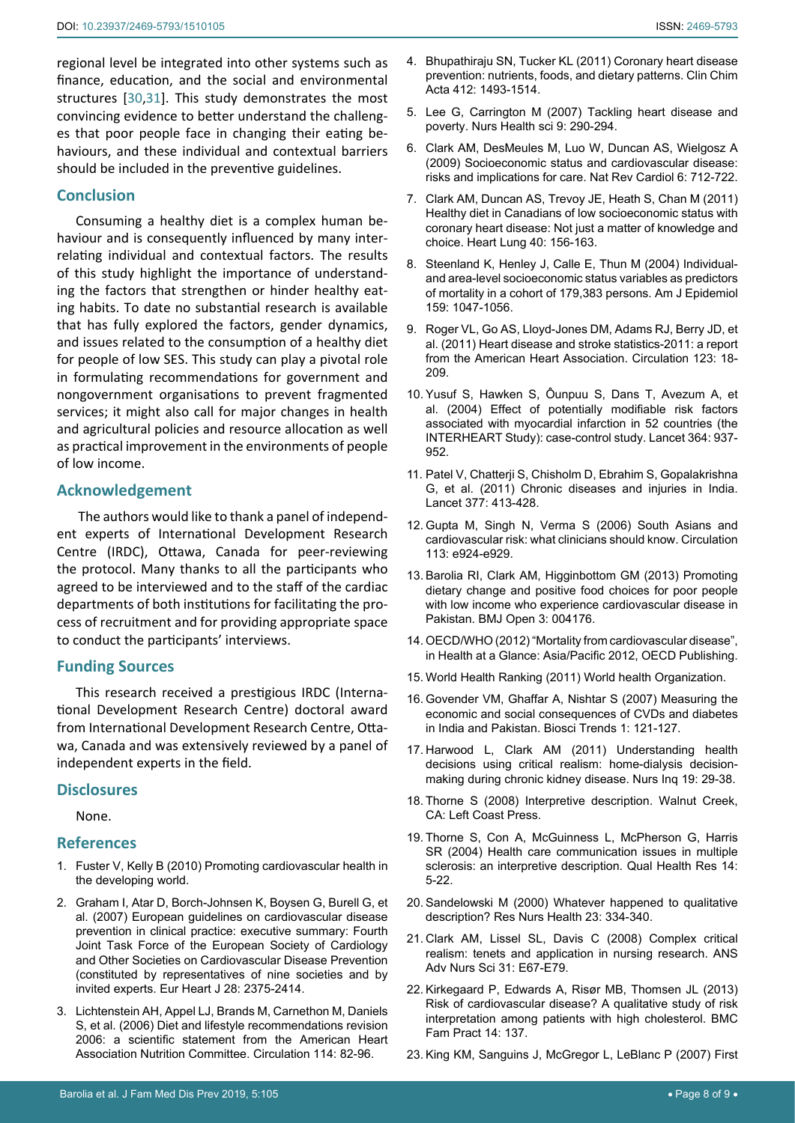should be included in the preventive guidelines.

## **Conclusion**

Consuming a healthy diet is a complex human behaviour and is consequently influenced by many interrelating individual and contextual factors. The results of this study highlight the importance of understanding the factors that strengthen or hinder healthy eating habits. To date no substantial research is available that has fully explored the factors, gender dynamics, and issues related to the consumption of a healthy diet for people of low SES. This study can play a pivotal role in formulating recommendations for government and nongovernment organisations to prevent fragmented services; it might also call for major changes in health and agricultural policies and resource allocation as well as practical improvement in the environments of people of low income.

#### **Acknowledgement**

 The authors would like to thank a panel of independent experts of International Development Research Centre (IRDC), Ottawa, Canada for peer-reviewing the protocol. Many thanks to all the participants who agreed to be interviewed and to the staff of the cardiac departments of both institutions for facilitating the process of recruitment and for providing appropriate space to conduct the participants' interviews.

## **Funding Sources**

This research received a prestigious IRDC (International Development Research Centre) doctoral award from International Development Research Centre, Ottawa, Canada and was extensively reviewed by a panel of independent experts in the field.

#### **Disclosures**

None.

## **References**

- <span id="page-7-0"></span>1. Fuster V, Kelly B (2010) Promoting cardiovascular health in the developing world.
- 2. [Graham I, Atar D, Borch-Johnsen K,](https://www.ncbi.nlm.nih.gov/pubmed/17726041) Boysen G, Burell G, et [al. \(2007\) European guidelines on cardiovascular disease](https://www.ncbi.nlm.nih.gov/pubmed/17726041)  [prevention in clinical practice: executive summary: Fourth](https://www.ncbi.nlm.nih.gov/pubmed/17726041)  [Joint Task Force of the European Society of Cardiology](https://www.ncbi.nlm.nih.gov/pubmed/17726041)  [and Other Societies on Cardiovascular Disease Prevention](https://www.ncbi.nlm.nih.gov/pubmed/17726041)  [\(constituted by representatives of nine societies and by](https://www.ncbi.nlm.nih.gov/pubmed/17726041)  [invited experts. Eur Heart J 28: 2375-2414.](https://www.ncbi.nlm.nih.gov/pubmed/17726041)
- 3. [Lichtenstein AH, Appel LJ, Brands M, Carnethon M,](https://www.ncbi.nlm.nih.gov/pubmed/16785338) Daniels [S, et al. \(2006\) Diet and lifestyle recommendations revision](https://www.ncbi.nlm.nih.gov/pubmed/16785338)  [2006: a scientific statement from the American Heart](https://www.ncbi.nlm.nih.gov/pubmed/16785338)  [Association Nutrition Committee. Circulation 114: 82-96.](https://www.ncbi.nlm.nih.gov/pubmed/16785338)
- <span id="page-7-1"></span>4. [Bhupathiraju SN, Tucker KL \(2011\) Coronary heart disease](https://www.ncbi.nlm.nih.gov/pubmed/21575619)  [prevention: nutrients, foods, and dietary patterns. Clin Chim](https://www.ncbi.nlm.nih.gov/pubmed/21575619)  [Acta 412: 1493-1514.](https://www.ncbi.nlm.nih.gov/pubmed/21575619)
- <span id="page-7-2"></span>5. [Lee G, Carrington M \(2007\) Tackling heart disease and](https://www.ncbi.nlm.nih.gov/pubmed/17958679)  [poverty. Nurs Health sci 9: 290-294.](https://www.ncbi.nlm.nih.gov/pubmed/17958679)
- <span id="page-7-4"></span>6. [Clark AM, DesMeules M, Luo W, Duncan AS, Wielgosz A](http://www.ncbi.nlm.nih.gov/pubmed/19770848)  [\(2009\) Socioeconomic status and cardiovascular disease:](http://www.ncbi.nlm.nih.gov/pubmed/19770848)  [risks and implications for care. Nat Rev Cardiol 6: 712-722.](http://www.ncbi.nlm.nih.gov/pubmed/19770848)
- <span id="page-7-3"></span>7. [Clark AM, Duncan AS, Trevoy JE, Heath S, Chan M \(2011\)](http://www.ncbi.nlm.nih.gov/pubmed/20561872)  [Healthy diet in Canadians of low socioeconomic status with](http://www.ncbi.nlm.nih.gov/pubmed/20561872)  [coronary heart disease: Not just a matter of knowledge and](http://www.ncbi.nlm.nih.gov/pubmed/20561872)  [choice. Heart Lung 40: 156-163.](http://www.ncbi.nlm.nih.gov/pubmed/20561872)
- <span id="page-7-5"></span>8. [Steenland K, Henley J, Calle E, Thun M \(2004\) Individual](https://www.ncbi.nlm.nih.gov/pubmed/15155289)[and area-level socioeconomic status variables as predictors](https://www.ncbi.nlm.nih.gov/pubmed/15155289)  [of mortality in a cohort of 179,383 persons. Am J Epidemiol](https://www.ncbi.nlm.nih.gov/pubmed/15155289)  [159: 1047-1056.](https://www.ncbi.nlm.nih.gov/pubmed/15155289)
- <span id="page-7-6"></span>9. [Roger VL, Go AS, Lloyd-Jones DM,](https://www.ncbi.nlm.nih.gov/pubmed/21160056) Adams RJ, Berry JD, et [al. \(2011\) Heart disease and stroke statistics-2011: a report](https://www.ncbi.nlm.nih.gov/pubmed/21160056)  [from the American Heart Association. Circulation 123: 18-](https://www.ncbi.nlm.nih.gov/pubmed/21160056) [209.](https://www.ncbi.nlm.nih.gov/pubmed/21160056)
- <span id="page-7-7"></span>10. [Yusuf S, Hawken S, Ôunpuu S,](https://www.ncbi.nlm.nih.gov/pubmed/15364185) Dans T, Avezum A, et [al. \(2004\) Effect of potentially modifiable risk factors](https://www.ncbi.nlm.nih.gov/pubmed/15364185)  [associated with myocardial infarction in 52 countries \(the](https://www.ncbi.nlm.nih.gov/pubmed/15364185)  [INTERHEART Study\): case-control study. Lancet 364: 937-](https://www.ncbi.nlm.nih.gov/pubmed/15364185) [952.](https://www.ncbi.nlm.nih.gov/pubmed/15364185)
- <span id="page-7-8"></span>11. [Patel V, Chatterji S, Chisholm D, Ebrahim S, Gopalakrishna](http://www.ncbi.nlm.nih.gov/pubmed/21227486)  [G, et al. \(2011\) Chronic diseases and injuries in India.](http://www.ncbi.nlm.nih.gov/pubmed/21227486)  [Lancet 377: 413-428.](http://www.ncbi.nlm.nih.gov/pubmed/21227486)
- 12. [Gupta M, Singh N, Verma S \(2006\) South Asians and](http://www.ncbi.nlm.nih.gov/pubmed/16801466)  [cardiovascular risk: what clinicians should know. Circulation](http://www.ncbi.nlm.nih.gov/pubmed/16801466)  [113: e924-e929.](http://www.ncbi.nlm.nih.gov/pubmed/16801466)
- <span id="page-7-9"></span>13. [Barolia RI, Clark AM, Higginbottom GM \(2013\) Promoting](https://www.ncbi.nlm.nih.gov/pubmed/24309173)  [dietary change and positive food choices for poor people](https://www.ncbi.nlm.nih.gov/pubmed/24309173)  [with low income who experience cardiovascular disease in](https://www.ncbi.nlm.nih.gov/pubmed/24309173)  [Pakistan. BMJ Open 3: 004176.](https://www.ncbi.nlm.nih.gov/pubmed/24309173)
- <span id="page-7-10"></span>14. OECD/WHO (2012) "Mortality from cardiovascular disease", in Health at a Glance: Asia/Pacific 2012, OECD Publishing.
- <span id="page-7-11"></span>15. [World Health Ranking \(2011\) World health Organization.](https://www.worldlifeexpectancy.com/pakistan-coronary-heart-disease)
- <span id="page-7-12"></span>16. [Govender VM, Ghaffar A, Nishtar S \(2007\) Measuring the](https://www.ncbi.nlm.nih.gov/pubmed/20103881)  [economic and social consequences of CVDs and diabetes](https://www.ncbi.nlm.nih.gov/pubmed/20103881)  [in India and Pakistan. Biosci Trends 1: 121-127.](https://www.ncbi.nlm.nih.gov/pubmed/20103881)
- <span id="page-7-13"></span>17. [Harwood L, Clark AM \(2011\) Understanding health](https://www.ncbi.nlm.nih.gov/pubmed/22212368)  [decisions using critical realism: home-dialysis decision](https://www.ncbi.nlm.nih.gov/pubmed/22212368)[making during chronic kidney disease. Nurs Inq 19: 29-38.](https://www.ncbi.nlm.nih.gov/pubmed/22212368)
- <span id="page-7-14"></span>18. Thorne S (2008) Interpretive description. Walnut Creek, CA: Left Coast Press.
- <span id="page-7-15"></span>19. [Thorne S, Con A, McGuinness L, McPherson G, Harris](http://www.ncbi.nlm.nih.gov/pubmed/14725173)  [SR \(2004\) Health care communication issues in multiple](http://www.ncbi.nlm.nih.gov/pubmed/14725173)  [sclerosis: an interpretive description. Qual Health Res 14:](http://www.ncbi.nlm.nih.gov/pubmed/14725173)  [5-22.](http://www.ncbi.nlm.nih.gov/pubmed/14725173)
- <span id="page-7-16"></span>20. [Sandelowski M \(2000\) Whatever happened to qualitative](https://www.ncbi.nlm.nih.gov/pubmed/10940958)  [description? Res Nurs Health 23: 334-340.](https://www.ncbi.nlm.nih.gov/pubmed/10940958)
- <span id="page-7-17"></span>21. [Clark AM, Lissel SL, Davis C \(2008\) Complex critical](http://www.ncbi.nlm.nih.gov/pubmed/19033741)  [realism: tenets and application in nursing research. ANS](http://www.ncbi.nlm.nih.gov/pubmed/19033741)  [Adv Nurs Sci 31: E67-E79.](http://www.ncbi.nlm.nih.gov/pubmed/19033741)
- <span id="page-7-18"></span>22. [Kirkegaard P, Edwards A, Risør MB, Thomsen JL \(2013\)](https://www.ncbi.nlm.nih.gov/pubmed/24040920)  [Risk of cardiovascular disease? A qualitative study of risk](https://www.ncbi.nlm.nih.gov/pubmed/24040920)  [interpretation among patients with high cholesterol. BMC](https://www.ncbi.nlm.nih.gov/pubmed/24040920)  [Fam Pract 14: 137.](https://www.ncbi.nlm.nih.gov/pubmed/24040920)
- 23. [King KM, Sanguins J, McGregor L, LeBlanc P \(2007\) First](http://www.ncbi.nlm.nih.gov/pubmed/17928480)